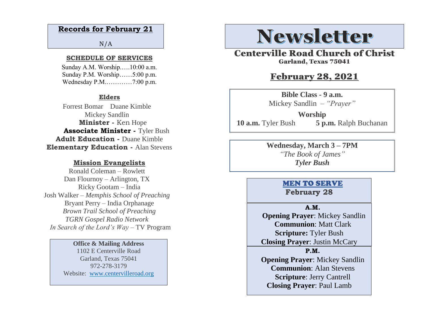#### **Records for February 21**

 $N/A$ 

#### **SCHEDULE OF SERVICES**

 Sunday A.M. Worship.….10:00 a.m. Sunday P.M. Worship……5:00 p.m. Wednesday P.M.…………7:00 p.m.

#### **Elders**

Forrest Bomar Duane Kimble Mickey Sandlin  **Minister -** Ken Hope  **Associate Minister -** Tyler Bush **Adult Education -** Duane Kimble **Elementary Education -** Alan Stevens

#### **Mission Evangelists**

Ronald Coleman – Rowlett Dan Flournoy – Arlington, TX Ricky Gootam – India Josh Walker – *Memphis School of Preaching* Bryant Perry – India Orphanage *Brown Trail School of Preaching TGRN Gospel Radio Network In Search of the Lord's Way* – TV Program

#### **Office & Mailing Address**

1102 E Centerville Road Garland, Texas 75041 972-278-3179 Website: [www.centervilleroad.org](https://d.docs.live.net/97e199c461b763eb/Newsletter/News%202020/August%202020/www.centervilleroad.org)

## **Newsletter**

Centerville Road Church of Christ Garland, Texas 75041

#### February 28, 2021

**Bible Class - 9 a.m.** Mickey Sandlin *– "Prayer"* 

**Worship 10 a.m.** Tyler Bush **5 p.m.** Ralph Buchanan

> **Wednesday, March 3 – 7PM** *"The Book of James" Tyler Bush*

#### MEN TO SERVE **February 28**

#### **A.M.**

 **Opening Prayer**: Mickey Sandlin **Communion**: Matt Clark **Scripture:** Tyler Bush **Closing Prayer**: Justin McCary

**P.M.**

**Opening Prayer**: Mickey Sandlin **Communion**: Alan Stevens **Scripture**: Jerry Cantrell **Closing Prayer**: Paul Lamb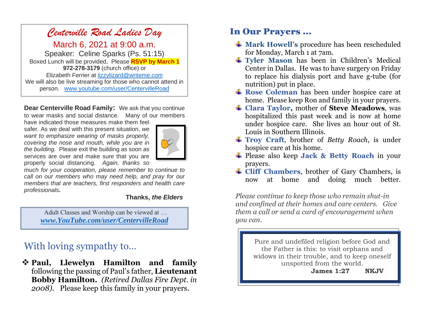### *Centerville Road Ladies Day*

March 6, 2021 at 9:00 a.m. Speaker: Celine Sparks (Ps. 51:15) Boxed Lunch will be provided, Please **RSVP by March 1 972-278-3179** (church office) or Elizabeth Ferrier at [lizzylizard@writeme.com](mailto:lizzylizard@writeme.com) We will also be live streaming for those who cannot attend in person. [www.youtube.com/user/CentervilleRoad](http://www.youtube.com/user/CentervilleRoad)

**Dear Centerville Road Family:** We ask that you continue to wear masks and social distance. Many of our members

have indicated those measures make them feel safer. As we deal with this present situation, *we want to emphasize wearing of masks properly, covering the nose and mouth, while you are in the building.* Please exit the building as soon as services are over and make sure that you are properly social distancing. *Again, thanks so* 



*much for your cooperation, please remember to continue to call on our members who may need help, and pray for our members that are teachers, first responders and health care professionals.*

#### **Thanks,** *the Elders*

Adult Classes and Worship can be viewed at … *[www.YouTube.com/user/CentervilleRoad](http://www.youtube.com/user/CentervilleRoad)*

## With loving sympathy to…

❖ **Paul, Llewelyn Hamilton and family**  following the passing of Paul's father, **Lieutenant Bobby Hamilton.** *(Retired Dallas Fire Dept. in 2008).*Please keep this family in your prayers.

### In Our Prayers …

- **Mark Howell's** procedure has been rescheduled for Monday, March 1 at 7am.
- **Tyler Mason** has been in Children's Medical Center in Dallas. He was to have surgery on Friday to replace his dialysis port and have g-tube (for nutrition) put in place.
- **Rose Coleman** has been under hospice care at home. Please keep Ron and family in your prayers.
- **Clara Taylor,** mother of **Steve Meadows**, was hospitalized this past week and is now at home under hospice care. She lives an hour out of St. Louis in Southern Illinois.
- **Troy Craft**, brother of *Betty Roach*, is under hospice care at his home.
- Please also keep **Jack & Betty Roach** in your prayers.
- **Cliff Chambers**, brother of Gary Chambers, is now at home and doing much better.

*Please continue to keep those who remain shut-in and confined at their homes and care centers. Give them a call or send a card of encouragement when you can.* 

> Pure and undefiled religion before God and the Father is this: to visit orphans and widows in their trouble, and to keep oneself unspotted from the world.

 **James 1:27 NKJV**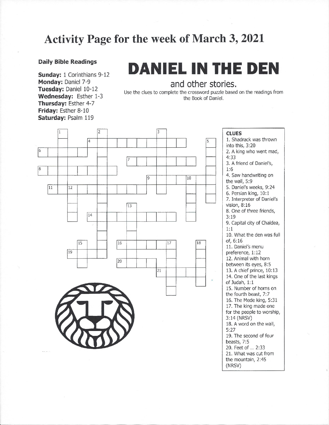## **Activity Page for the week of March 3, 2021**

#### **Daily Bible Readings**

Sunday: 1 Corinthians 9-12 Monday: Daniel 7-9 Tuesday: Daniel 10-12 Wednesday: Esther 1-3 Thursday: Esther 4-7 Friday: Esther 8-10 Saturday: Psalm 119

# **DANIEL IN THE DEN**

and other stories.

Use the clues to complete the crossword puzzle based on the readings from the Book of Daniel.



**CLUES** 1. Shadrack was thrown into this, 3:20 2. A king who went mad,  $4:33$ 3. A friend of Daniel's,  $1:6$ 4. Saw handwriting on the wall, 5:9 5. Daniel's weeks, 9:24 6. Persian king, 10:1 7. Interpreter of Daniel's vision,  $8:16$ 8. One of three friends,  $3:19$ 9. Capital city of Chaldea,  $1:1$ 10. What the den was full  $of. 6:16$ 11. Daniel's menu preference, 1:12 12. Animal with horn between its eyes, 8:5 13. A chief prince, 10:13 14. One of the last kings of Judah, 1:1 15. Number of horns on the fourth beast, 7:7 16. The Mede king, 5:31 17. The king made one for the people to worship, 3:14 (NRSV) 18. A word on the wall,  $5:27$ 19. The second of four beasts, 7:5 20. Feet of ... 2:33 21. What was cut from the mountain, 2:45 (NRSV)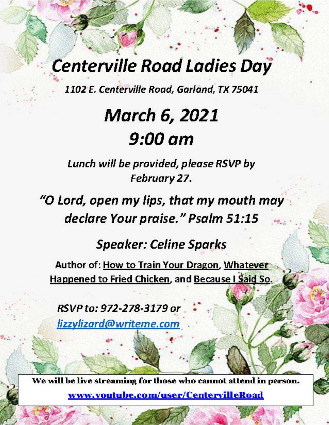## **Centerville Road Ladies Day**

1102 E. Centerville Road, Garland, TX 75041

# **March 6, 2021** 9:00 am

Lunch will be provided, please RSVP by February 27.

"O Lord, open my lips, that my mouth may declare Your praise." Psalm 51:15

**Speaker: Celine Sparks** 

Author of: How to Train Your Dragon, Whatever Happened to Fried Chicken, and Because I Said So.

RSVP to: 972-278-3179 or lizzylizard@writeme.com

We will be live streaming for those who cannot attend in person. www.youtube.com/user/CentervilleRoad